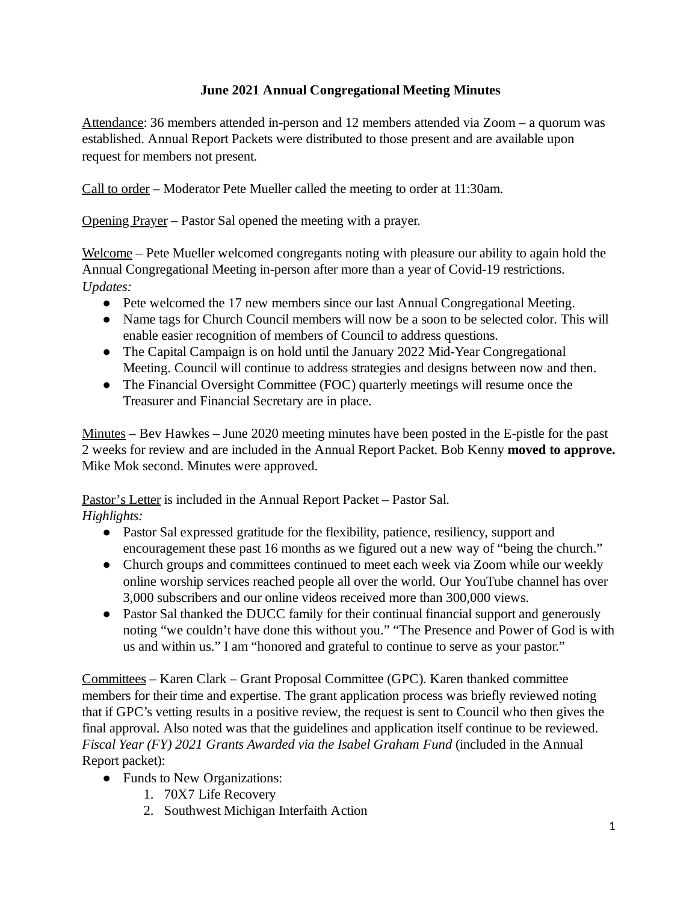## **June 2021 Annual Congregational Meeting Minutes**

Attendance: 36 members attended in-person and 12 members attended via Zoom – a quorum was established. Annual Report Packets were distributed to those present and are available upon request for members not present.

Call to order – Moderator Pete Mueller called the meeting to order at 11:30am.

Opening Prayer – Pastor Sal opened the meeting with a prayer.

Welcome – Pete Mueller welcomed congregants noting with pleasure our ability to again hold the Annual Congregational Meeting in-person after more than a year of Covid-19 restrictions. *Updates:*

- Pete welcomed the 17 new members since our last Annual Congregational Meeting.
- Name tags for Church Council members will now be a soon to be selected color. This will enable easier recognition of members of Council to address questions.
- The Capital Campaign is on hold until the January 2022 Mid-Year Congregational Meeting. Council will continue to address strategies and designs between now and then.
- The Financial Oversight Committee (FOC) quarterly meetings will resume once the Treasurer and Financial Secretary are in place.

Minutes – Bev Hawkes – June 2020 meeting minutes have been posted in the E-pistle for the past 2 weeks for review and are included in the Annual Report Packet. Bob Kenny **moved to approve.** Mike Mok second. Minutes were approved.

Pastor's Letter is included in the Annual Report Packet – Pastor Sal.

*Highlights:*

- Pastor Sal expressed gratitude for the flexibility, patience, resiliency, support and encouragement these past 16 months as we figured out a new way of "being the church."
- Church groups and committees continued to meet each week via Zoom while our weekly online worship services reached people all over the world. Our YouTube channel has over 3,000 subscribers and our online videos received more than 300,000 views.
- Pastor Sal thanked the DUCC family for their continual financial support and generously noting "we couldn't have done this without you." "The Presence and Power of God is with us and within us." I am "honored and grateful to continue to serve as your pastor."

Committees – Karen Clark – Grant Proposal Committee (GPC). Karen thanked committee members for their time and expertise. The grant application process was briefly reviewed noting that if GPC's vetting results in a positive review, the request is sent to Council who then gives the final approval. Also noted was that the guidelines and application itself continue to be reviewed. *Fiscal Year (FY) 2021 Grants Awarded via the Isabel Graham Fund* (included in the Annual Report packet):

- Funds to New Organizations:
	- 1. 70X7 Life Recovery
	- 2. Southwest Michigan Interfaith Action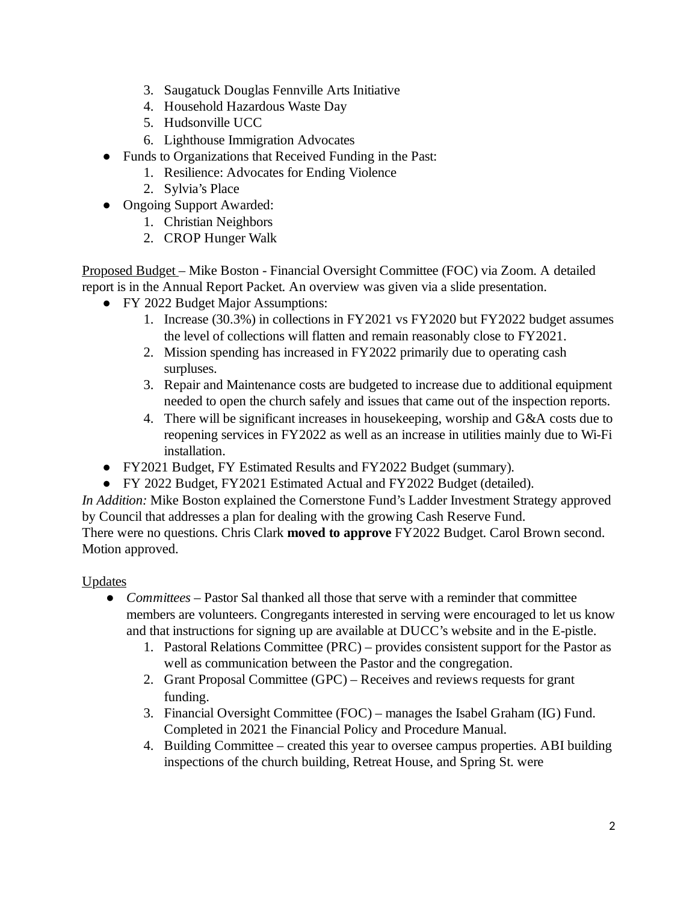- 3. Saugatuck Douglas Fennville Arts Initiative
- 4. Household Hazardous Waste Day
- 5. Hudsonville UCC
- 6. Lighthouse Immigration Advocates
- Funds to Organizations that Received Funding in the Past:
	- 1. Resilience: Advocates for Ending Violence
	- 2. Sylvia's Place
- Ongoing Support Awarded:
	- 1. Christian Neighbors
	- 2. CROP Hunger Walk

Proposed Budget – Mike Boston - Financial Oversight Committee (FOC) via Zoom. A detailed report is in the Annual Report Packet. An overview was given via a slide presentation.

- FY 2022 Budget Major Assumptions:
	- 1. Increase (30.3%) in collections in FY2021 vs FY2020 but FY2022 budget assumes the level of collections will flatten and remain reasonably close to FY2021.
	- Mission spending has increased in FY2022 primarily due to operating cash 2. surpluses.
	- Repair and Maintenance costs are budgeted to increase due to additional equipment 3. needed to open the church safely and issues that came out of the inspection reports.
	- 4. There will be significant increases in housekeeping, worship and G&A costs due to reopening services in FY2022 as well as an increase in utilities mainly due to Wi-Fi installation.
- FY2021 Budget, FY Estimated Results and FY2022 Budget (summary).
- FY 2022 Budget, FY2021 Estimated Actual and FY2022 Budget (detailed).

*In Addition:* Mike Boston explained the Cornerstone Fund's Ladder Investment Strategy approved by Council that addresses a plan for dealing with the growing Cash Reserve Fund.

There were no questions. Chris Clark **moved to approve** FY2022 Budget. Carol Brown second. Motion approved.

## **Updates**

- *Committees* Pastor Sal thanked all those that serve with a reminder that committee members are volunteers. Congregants interested in serving were encouraged to let us know and that instructions for signing up are available at DUCC's website and in the E-pistle.  $\bullet$ 
	- Pastoral Relations Committee (PRC) provides consistent support for the Pastor as 1. well as communication between the Pastor and the congregation.
	- 2. Grant Proposal Committee (GPC) Receives and reviews requests for grant funding.
	- Financial Oversight Committee (FOC) manages the Isabel Graham (IG) Fund. 3. Completed in 2021 the Financial Policy and Procedure Manual.
	- 4. Building Committee created this year to oversee campus properties. ABI building inspections of the church building, Retreat House, and Spring St. were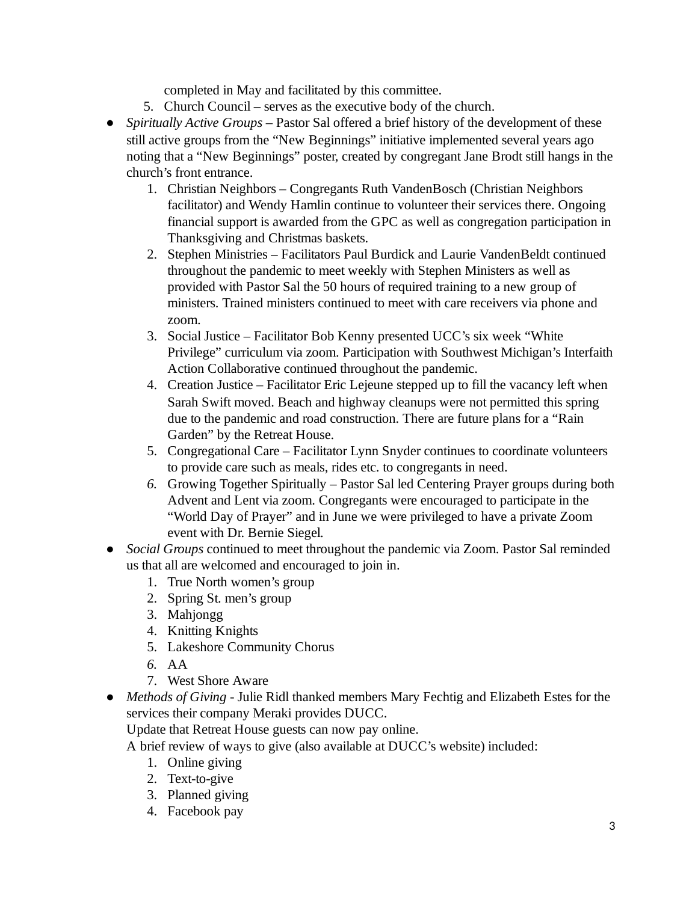completed in May and facilitated by this committee.

- 5. Church Council serves as the executive body of the church.
- Spiritually Active Groups Pastor Sal offered a brief history of the development of these still active groups from the "New Beginnings" initiative implemented several years ago noting that a "New Beginnings" poster, created by congregant Jane Brodt still hangs in the church's front entrance.
	- Christian Neighbors Congregants Ruth VandenBosch (Christian Neighbors 1. facilitator) and Wendy Hamlin continue to volunteer their services there. Ongoing financial support is awarded from the GPC as well as congregation participation in Thanksgiving and Christmas baskets.
	- 2. Stephen Ministries Facilitators Paul Burdick and Laurie VandenBeldt continued throughout the pandemic to meet weekly with Stephen Ministers as well as provided with Pastor Sal the 50 hours of required training to a new group of ministers. Trained ministers continued to meet with care receivers via phone and zoom.
	- Social Justice Facilitator Bob Kenny presented UCC's six week "White 3. Privilege" curriculum via zoom. Participation with Southwest Michigan's Interfaith Action Collaborative continued throughout the pandemic.
	- Creation Justice Facilitator Eric Lejeune stepped up to fill the vacancy left when 4. Sarah Swift moved. Beach and highway cleanups were not permitted this spring due to the pandemic and road construction. There are future plans for a "Rain Garden" by the Retreat House.
	- Congregational Care Facilitator Lynn Snyder continues to coordinate volunteers 5. to provide care such as meals, rides etc. to congregants in need.
	- 6. Growing Together Spiritually Pastor Sal led Centering Prayer groups during both Advent and Lent via zoom. Congregants were encouraged to participate in the "World Day of Prayer" and in June we were privileged to have a private Zoom event with Dr. Bernie Siegel*.*
- *Social Groups* continued to meet throughout the pandemic via Zoom. Pastor Sal reminded us that all are welcomed and encouraged to join in. ●
	- 1. True North women's group
	- 2. Spring St. men's group
	- 3. Mahjongg
	- 4. Knitting Knights
	- 5. Lakeshore Community Chorus
	- *6.* AA
	- 7. West Shore Aware
- *Methods of Giving -* Julie Ridl thanked members Mary Fechtig and Elizabeth Estes for the *●* services their company Meraki provides DUCC.

Update that Retreat House guests can now pay online.

A brief review of ways to give (also available at DUCC's website) included:

- 1. Online giving
- 2. Text-to-give
- 3. Planned giving
- 4. Facebook pay